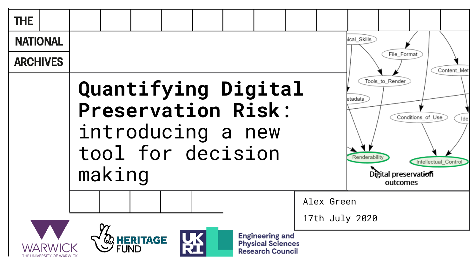| <b>THE</b>      |  |        |                  |  |                                        |                                                                               |                              |                              |                                                     |                   |                             |
|-----------------|--|--------|------------------|--|----------------------------------------|-------------------------------------------------------------------------------|------------------------------|------------------------------|-----------------------------------------------------|-------------------|-----------------------------|
| <b>NATIONAL</b> |  |        |                  |  |                                        |                                                                               |                              | ical_Skills                  |                                                     |                   |                             |
| <b>ARCHIVES</b> |  |        |                  |  |                                        |                                                                               |                              |                              | File Format                                         |                   | Content Met                 |
|                 |  | making |                  |  | introducing a new<br>tool for decision | Quantifying Digital<br><b>Preservation Risk:</b>                              |                              | $eta$ adata<br>Renderability | Tools to Render<br>Digital preservation<br>outcomes | Conditions_of_Use | Ide<br>Intellectual_Control |
|                 |  |        |                  |  |                                        |                                                                               | Alex Green<br>17th July 2020 |                              |                                                     |                   |                             |
|                 |  |        | <b>SHERITAGE</b> |  |                                        | <b>Engineering and</b><br><b>Physical Sciences</b><br><b>Research Council</b> |                              |                              |                                                     |                   |                             |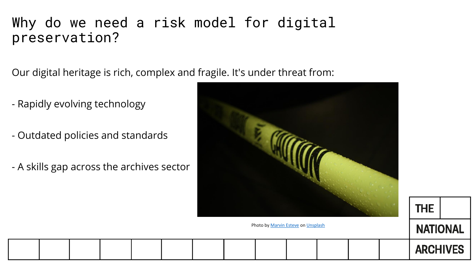## Why do we need a risk model for digital preservation?

Our digital heritage is rich, complex and fragile. It's under threat from:

- Rapidly evolving technology
- Outdated policies and standards
- A skills gap across the archives sector



**THE** 

**NATIONAL** 

**ARCHIVES** 

Photo by [Marvin Esteve](https://unsplash.com/@tme18?utm_source=unsplash&utm_medium=referral&utm_content=creditCopyText) on [Unsplash](https://unsplash.com/s/photos/warning?utm_source=unsplash&utm_medium=referral&utm_content=creditCopyText)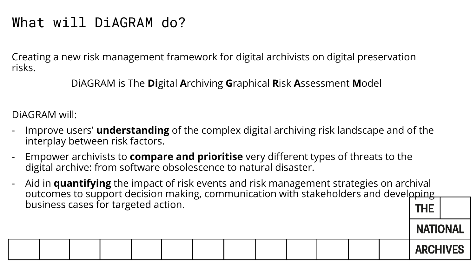# What will DiAGRAM do?

Creating a new risk management framework for digital archivists on digital preservation risks.

DiAGRAM is The **Di**gital **A**rchiving **G**raphical **R**isk **A**ssessment **M**odel

DiAGRAM will:

- Improve users' **understanding** of the complex digital archiving risk landscape and of the interplay between risk factors.
- Empower archivists to **compare and prioritise** very different types of threats to the digital archive: from software obsolescence to natural disaster.
- Aid in **quantifying** the impact of risk events and risk management strategies on archival outcomes to support decision making, communication with stakeholders and developing business cases for targeted action.**THE**

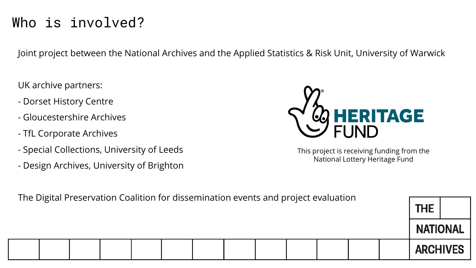# Who is involved?

Joint project between the National Archives and the Applied Statistics & Risk Unit, University of Warwick

UK archive partners:

- Dorset History Centre
- Gloucestershire Archives
- TfL Corporate Archives
- Special Collections, University of Leeds
- Design Archives, University of Brighton



This project is receiving funding from the National Lottery Heritage Fund

| The Digital Preservation Coalition for dissemination events and project evaluation |  |  |  |  |  |  |  |  |  | <b>THE</b>      |  |  |                 |  |
|------------------------------------------------------------------------------------|--|--|--|--|--|--|--|--|--|-----------------|--|--|-----------------|--|
|                                                                                    |  |  |  |  |  |  |  |  |  | <b>NATIONAL</b> |  |  |                 |  |
|                                                                                    |  |  |  |  |  |  |  |  |  |                 |  |  | <b>ARCHIVES</b> |  |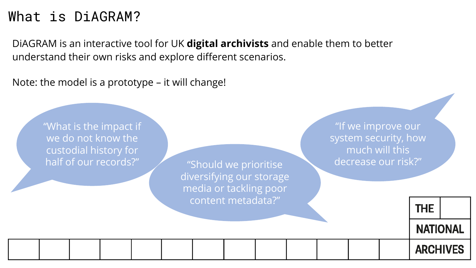## What is DiAGRAM?

DiAGRAM is an interactive tool for UK **digital archivists** and enable them to better understand their own risks and explore different scenarios.

Note: the model is a prototype – it will change!

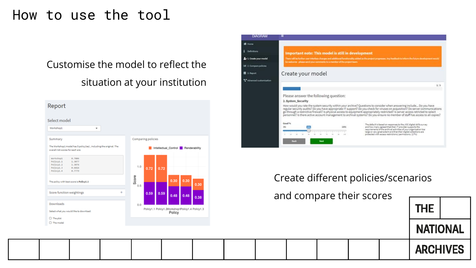### How to use the tool

### Customise the model to reflect the situation at your institution



| <b>Important note: This model is still in development</b><br>There will be further case interface changes and additional functionality added as the project progresses. Any feasiback to inform the future development seculi<br>be welcome - plasse send your comments to a member of the project team.                                                                                                                                                                                                                     |
|------------------------------------------------------------------------------------------------------------------------------------------------------------------------------------------------------------------------------------------------------------------------------------------------------------------------------------------------------------------------------------------------------------------------------------------------------------------------------------------------------------------------------|
| Create your model                                                                                                                                                                                                                                                                                                                                                                                                                                                                                                            |
| 1/9                                                                                                                                                                                                                                                                                                                                                                                                                                                                                                                          |
|                                                                                                                                                                                                                                                                                                                                                                                                                                                                                                                              |
| Please answer the following question:                                                                                                                                                                                                                                                                                                                                                                                                                                                                                        |
| 2. System_Security                                                                                                                                                                                                                                                                                                                                                                                                                                                                                                           |
| How would you rate the system security within your archive? Questions to consider when answering include Do you have<br>regular security audits? Do you have appropriate IT support? Do you check for viruses on acquisition? Do server communications<br>go through a restrictive firewall? Is physical access to equipment appropriately restricted? Is server access retricted to select<br>personnel? Is there active account management to archival systems? Do you ensure no member of staff has access to all copies? |
| Good %<br>The default is based on responses to the JGC digital skills survey<br>and how many agreed that their IT provider supports the<br>requirements of the archival activities of your organisation toal<br>large or very great extent and that their digital collections are                                                                                                                                                                                                                                            |
|                                                                                                                                                                                                                                                                                                                                                                                                                                                                                                                              |

Create different policies/scenarios

and compare their scores

| THE .    |  |
|----------|--|
| NATIONAL |  |

#### **ARCHIVES**